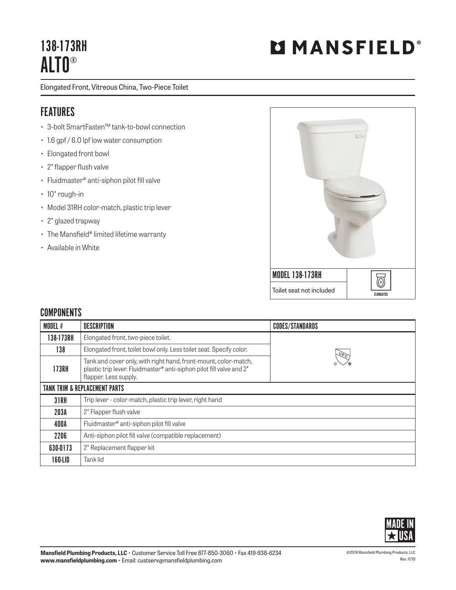# 138-173RH ALTO®

Elongated Front, Vitreous China, Two-Piece Toilet

### FEATURES

- 3-bolt SmartFasten™ tank-to-bowl connection
- 1.6 gpf / 6.0 lpf low water consumption
- Elongated front bowl
- 2" flapper flush valve
- Fluidmaster® anti-siphon pilot fill valve
- 10" rough-in
- Model 31RH color-match, plastic trip lever
- 2" glazed trapway
- The Mansfield® limited lifetime warranty
- Available in White



#### **COMPONENTS**

| MODEL #                                  | <b>DESCRIPTION</b>                                                                                                                                               | <b>CODES/STANDARDS</b> |  |  |
|------------------------------------------|------------------------------------------------------------------------------------------------------------------------------------------------------------------|------------------------|--|--|
| 138-173RH                                | Elongated front, two-piece toilet.                                                                                                                               |                        |  |  |
| 138                                      | Elongated front, toilet bowl only. Less toilet seat. Specify color.                                                                                              | $\sqrt{6}$             |  |  |
| <b>173RH</b>                             | Tank and cover only, with right hand, front-mount, color-match,<br>plastic trip lever. Fluidmaster® anti-siphon pilot fill valve and 2'<br>flapper. Less supply. |                        |  |  |
| <b>TANK TRIM &amp; REPLACEMENT PARTS</b> |                                                                                                                                                                  |                        |  |  |
| <b>31RH</b>                              | Trip lever - color-match, plastic trip lever, right hand                                                                                                         |                        |  |  |
| 203A                                     | 2' Flapper flush valve                                                                                                                                           |                        |  |  |
| 400A                                     | Fluidmaster® anti-siphon pilot fill valve                                                                                                                        |                        |  |  |
| 2206                                     | Anti-siphon pilot fill valve (compatible replacement)                                                                                                            |                        |  |  |
| 630-0173                                 | 2' Replacement flapper kit                                                                                                                                       |                        |  |  |
| 160-LID                                  | Tank lid                                                                                                                                                         |                        |  |  |